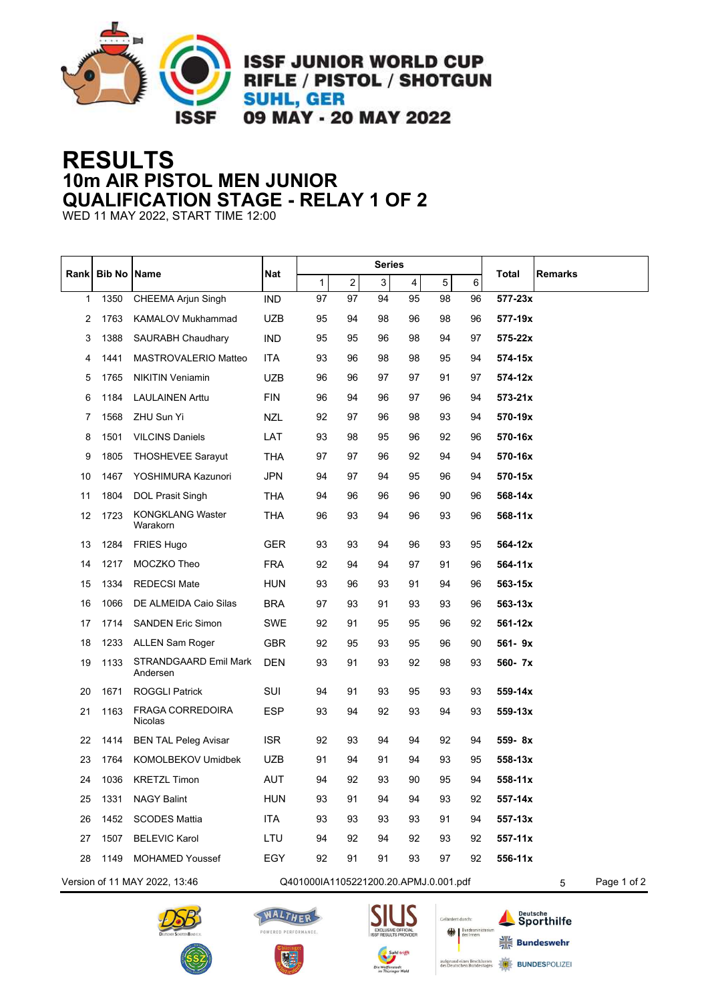

**ISSF JUNIOR WORLD CUP RIFLE / PISTOL / SHOTGUN SUHL, GER** 09 MAY - 20 MAY 2022

## **RESULTS 10m AIR PISTOL MEN JUNIOR QUALIFICATION STAGE - RELAY 1 OF 2**

WED 11 MAY 2022, START TIME 12:00

| Rank                                                                        | <b>Bib No Name</b> |                                          | <b>Nat</b> | <b>Series</b> |    |    |                         |             |             |              |                |
|-----------------------------------------------------------------------------|--------------------|------------------------------------------|------------|---------------|----|----|-------------------------|-------------|-------------|--------------|----------------|
|                                                                             |                    |                                          |            | 1             | 2  | 3  | $\overline{\mathbf{4}}$ | $\,$ 5 $\,$ | 6           | <b>Total</b> | <b>Remarks</b> |
| 1                                                                           | 1350               | <b>CHEEMA Arjun Singh</b>                | <b>IND</b> | 97            | 97 | 94 | 95                      | 98          | 96          | 577-23x      |                |
| 2                                                                           | 1763               | KAMALOV Mukhammad                        | <b>UZB</b> | 95            | 94 | 98 | 96                      | 98          | 96          | 577-19x      |                |
| 3                                                                           | 1388               | <b>SAURABH Chaudhary</b>                 | <b>IND</b> | 95            | 95 | 96 | 98                      | 94          | 97          | 575-22x      |                |
| 4                                                                           | 1441               | MASTROVALERIO Matteo                     | ITA        | 93            | 96 | 98 | 98                      | 95          | 94          | 574-15x      |                |
| 5                                                                           | 1765               | <b>NIKITIN Veniamin</b>                  | <b>UZB</b> | 96            | 96 | 97 | 97                      | 91          | 97          | 574-12x      |                |
| 6                                                                           | 1184               | <b>LAULAINEN Arttu</b>                   | <b>FIN</b> | 96            | 94 | 96 | 97                      | 96          | 94          | $573 - 21x$  |                |
| 7                                                                           | 1568               | ZHU Sun Yi                               | NZL        | 92            | 97 | 96 | 98                      | 93          | 94          | 570-19x      |                |
| 8                                                                           | 1501               | <b>VILCINS Daniels</b>                   | LAT        | 93            | 98 | 95 | 96                      | 92          | 96          | 570-16x      |                |
| 9                                                                           | 1805               | <b>THOSHEVEE Sarayut</b>                 | THA        | 97            | 97 | 96 | 92                      | 94          | 94          | 570-16x      |                |
| 10                                                                          | 1467               | YOSHIMURA Kazunori                       | <b>JPN</b> | 94            | 97 | 94 | 95                      | 96          | 94          | 570-15x      |                |
| 11                                                                          | 1804               | DOL Prasit Singh                         | THA        | 94            | 96 | 96 | 96                      | 90          | 96          | 568-14x      |                |
| 12                                                                          | 1723               | <b>KONGKLANG Waster</b><br>Warakorn      | THA        | 96            | 93 | 94 | 96                      | 93          | 96          | 568-11x      |                |
| 13                                                                          | 1284               | <b>FRIES Hugo</b>                        | <b>GER</b> | 93            | 93 | 94 | 96                      | 93          | 95          | 564-12x      |                |
| 14                                                                          | 1217               | MOCZKO Theo                              | <b>FRA</b> | 92            | 94 | 94 | 97                      | 91          | 96          | 564-11x      |                |
| 15                                                                          | 1334               | <b>REDECSI Mate</b>                      | HUN        | 93            | 96 | 93 | 91                      | 94          | 96          | 563-15x      |                |
| 16                                                                          | 1066               | DE ALMEIDA Caio Silas                    | <b>BRA</b> | 97            | 93 | 91 | 93                      | 93          | 96          | 563-13x      |                |
| 17                                                                          | 1714               | <b>SANDEN Eric Simon</b>                 | SWE        | 92            | 91 | 95 | 95                      | 96          | 92          | 561-12x      |                |
| 18                                                                          | 1233               | ALLEN Sam Roger                          | <b>GBR</b> | 92            | 95 | 93 | 95                      | 96          | 90          | 561-9x       |                |
| 19                                                                          | 1133               | <b>STRANDGAARD Emil Mark</b><br>Andersen | DEN        | 93            | 91 | 93 | 92                      | 98          | 93          | 560-7x       |                |
| 20                                                                          | 1671               | <b>ROGGLI Patrick</b>                    | SUI        | 94            | 91 | 93 | 95                      | 93          | 93          | 559-14x      |                |
| 21                                                                          | 1163               | <b>FRAGA CORREDOIRA</b><br>Nicolas       | <b>ESP</b> | 93            | 94 | 92 | 93                      | 94          | 93          | 559-13x      |                |
| 22                                                                          | 1414               | <b>BEN TAL Peleg Avisar</b>              | <b>ISR</b> | 92            | 93 | 94 | 94                      | 92          | 94          | 559-8x       |                |
| 23                                                                          | 1764               | KOMOLBEKOV Umidbek                       | <b>UZB</b> | 91            | 94 | 91 | 94                      | 93          | 95          | $558 - 13x$  |                |
| 24                                                                          | 1036               | <b>KRETZL Timon</b>                      | <b>AUT</b> | 94            | 92 | 93 | 90                      | 95          | 94          | $558 - 11x$  |                |
| 25                                                                          | 1331               | <b>NAGY Balint</b>                       | <b>HUN</b> | 93            | 91 | 94 | 94                      | 93          | 92          | 557-14x      |                |
| 26                                                                          | 1452               | <b>SCODES Mattia</b>                     | <b>ITA</b> | 93            | 93 | 93 | 93                      | 91          | 94          | 557-13x      |                |
| 27                                                                          | 1507               | <b>BELEVIC Karol</b>                     | LTU        | 94            | 92 | 94 | 92                      | 93          | 92          | 557-11x      |                |
| 28                                                                          | 1149               | <b>MOHAMED Youssef</b>                   | EGY        | 92            | 91 | 91 | 93                      | 97          | 92          | 556-11x      |                |
| Version of 11 MAY 2022, 13:46<br>Q401000IA1105221200.20.APMJ.0.001.pdf<br>5 |                    |                                          |            |               |    |    |                         |             | Page 1 of 2 |              |                |









Deutsche<br>Sporthilfe

 $\frac{1}{16}$  Bundeswehr

**BUNDESPOLIZE**